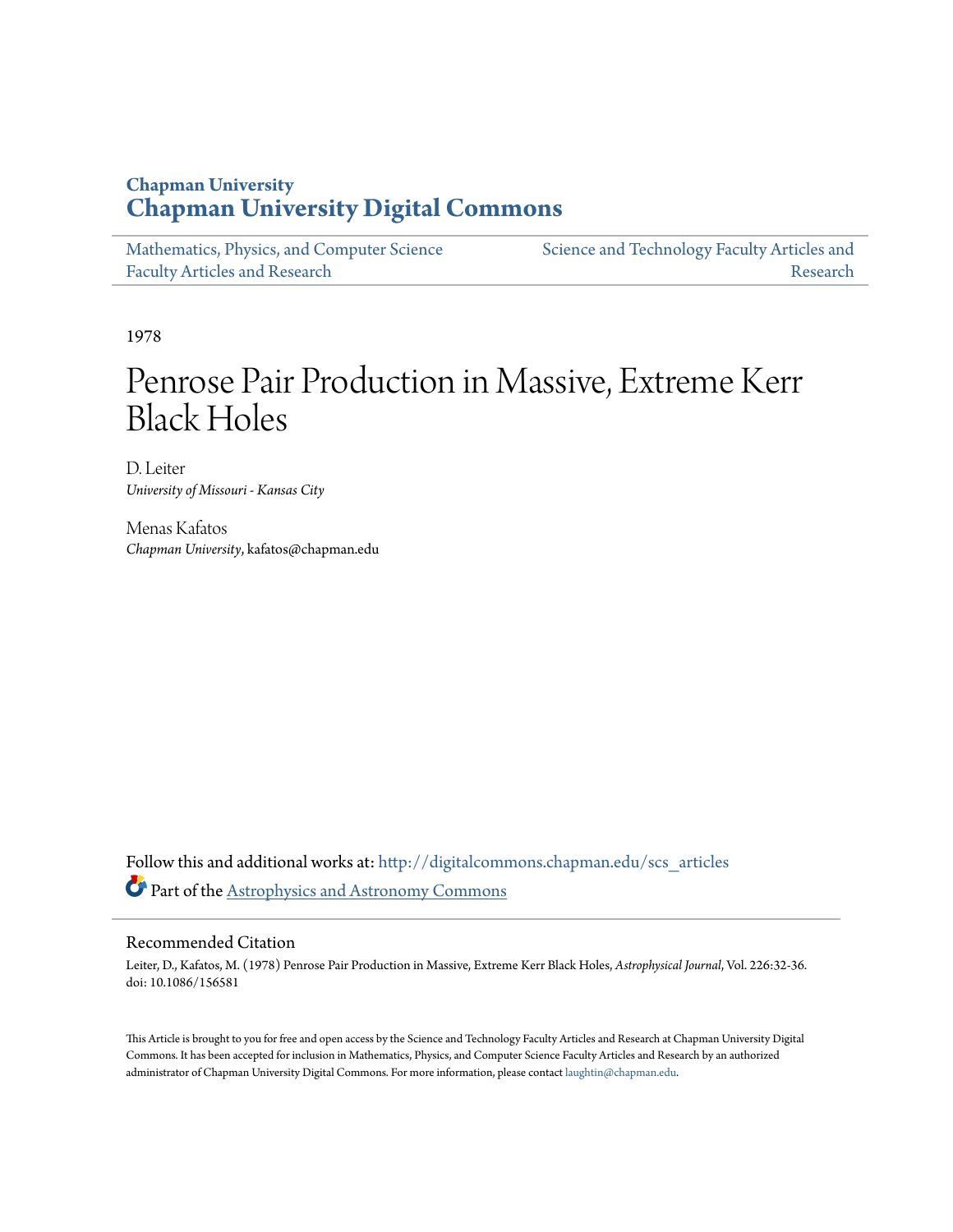# **Chapman University [Chapman University Digital Commons](http://digitalcommons.chapman.edu?utm_source=digitalcommons.chapman.edu%2Fscs_articles%2F93&utm_medium=PDF&utm_campaign=PDFCoverPages)**

| Mathematics, Physics, and Computer Science | Science and Technology Faculty Articles and |
|--------------------------------------------|---------------------------------------------|
| <b>Faculty Articles and Research</b>       | Research                                    |

1978

# Penrose Pair Production in Massive, Extreme Kerr Black Holes

D. Leiter *University of Missouri - Kansas City*

Menas Kafatos *Chapman University*, kafatos@chapman.edu

Follow this and additional works at: [http://digitalcommons.chapman.edu/scs\\_articles](http://digitalcommons.chapman.edu/scs_articles?utm_source=digitalcommons.chapman.edu%2Fscs_articles%2F93&utm_medium=PDF&utm_campaign=PDFCoverPages) Part of the [Astrophysics and Astronomy Commons](http://network.bepress.com/hgg/discipline/123?utm_source=digitalcommons.chapman.edu%2Fscs_articles%2F93&utm_medium=PDF&utm_campaign=PDFCoverPages)

# Recommended Citation

Leiter, D., Kafatos, M. (1978) Penrose Pair Production in Massive, Extreme Kerr Black Holes, *Astrophysical Journal*, Vol. 226:32-36. doi: 10.1086/156581

This Article is brought to you for free and open access by the Science and Technology Faculty Articles and Research at Chapman University Digital Commons. It has been accepted for inclusion in Mathematics, Physics, and Computer Science Faculty Articles and Research by an authorized administrator of Chapman University Digital Commons. For more information, please contact [laughtin@chapman.edu.](mailto:laughtin@chapman.edu)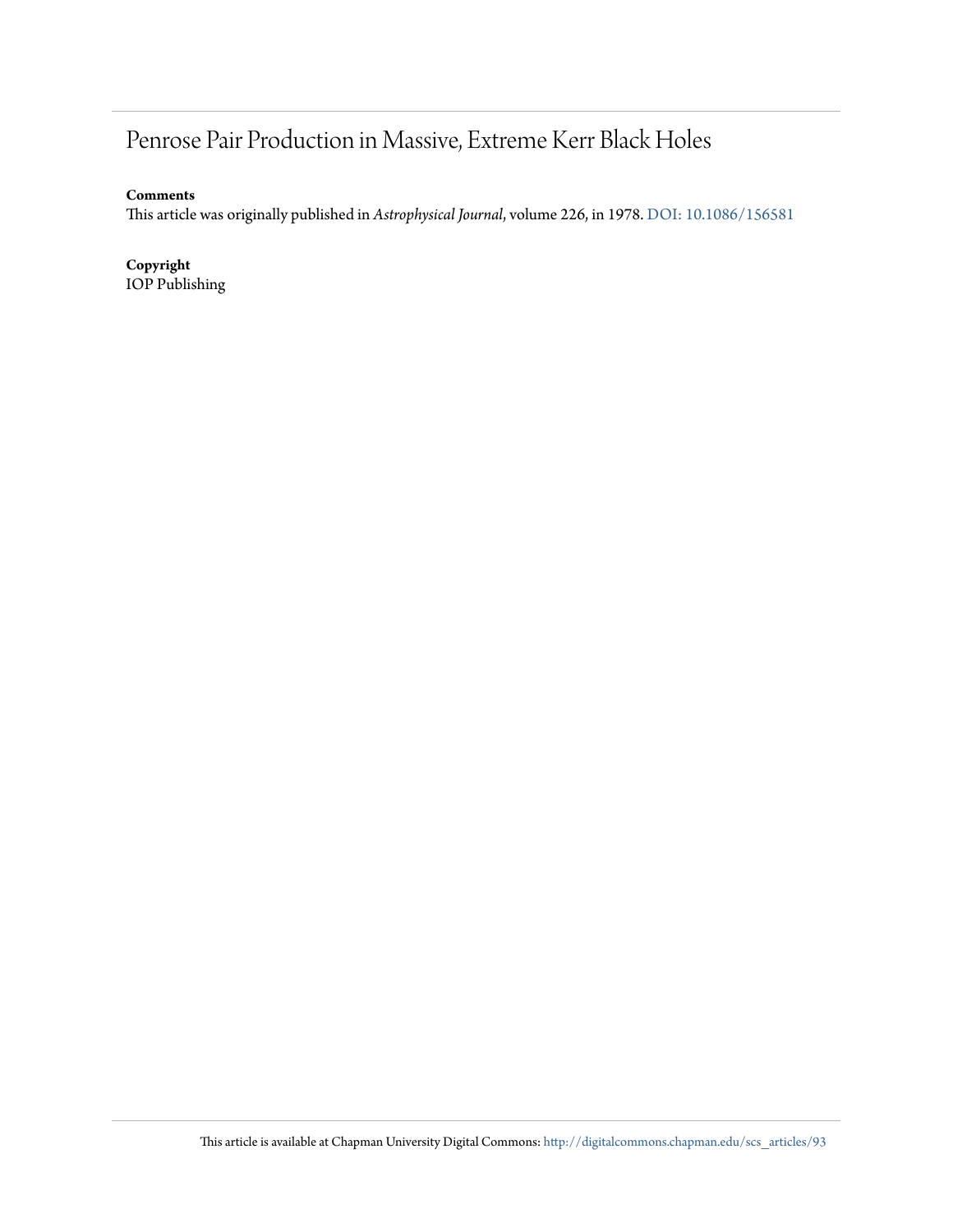# Penrose Pair Production in Massive, Extreme Kerr Black Holes

**Comments**

This article was originally published in *Astrophysical Journal*, volume 226, in 1978. [DOI: 10.1086/156581](http://dx.doi.org/10.1086/156581)

**Copyright**

IOP Publishing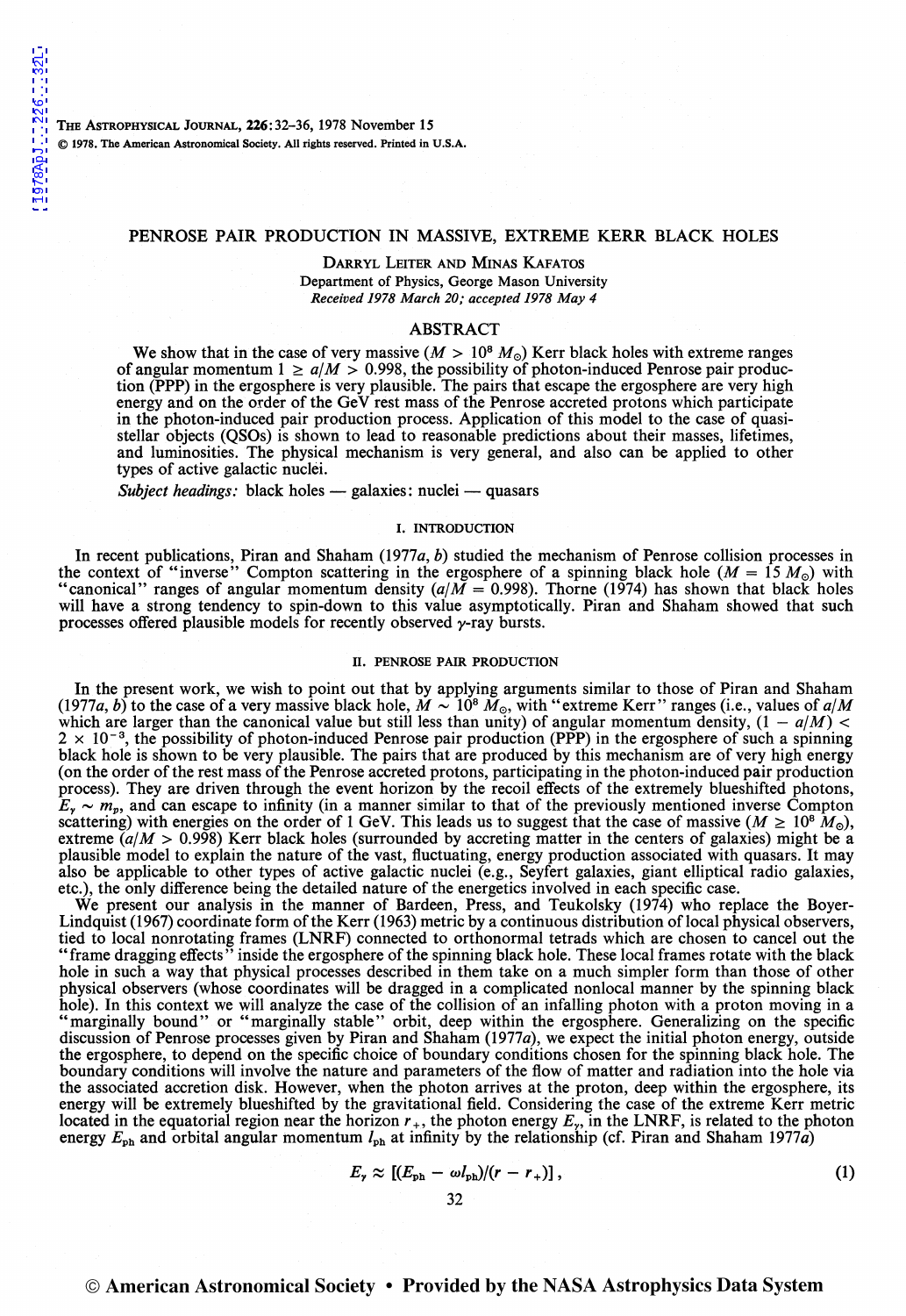THE ASTROPHYSICAL JOURNAL, 226:32-36, 1978 November 15 © 1978. The American Astronomical Society. All rights reserved. Printed in U.S.A.

#### PENROSE PAIR PRODUCTION IN MASSIVE, EXTREME KERR BLACK HOLES

#### DARRYL LEITER AND MINAS KAFATOS Department of Physics, George Mason University *Received 1978 March 20; accepted 1978 May 4*

#### ABSTRACT

We show that in the case of very massive ( $M > 10^8 M_{\odot}$ ) Kerr black holes with extreme ranges of angular momentum  $1 \ge a/M > 0.998$ , the possibility of photon-induced Penrose pair production (PPP) in the ergosphere is very plausible. The pairs that escape the ergosphere are very high energy and on the order of the GeV rest mass of the Penrose accreted protons which participate in the photon-induced pair production process. Application of this model to the case of quasistellar objects (QSOs) is shown to lead to reasonable predictions about their masses, lifetimes, and luminosities. The physical mechanism is very general, and also can be applied to other types of active galactic nuclei.

*Subject headings:* black holes - galaxies: nuclei - quasars

#### I. INTRODUCTION

In recent publications, Piran and Shaham (1977a, b) studied the mechanism of Penrose collision processes in the context of "inverse" Compton scattering in the ergosphere of a spinning black hole ( $M = 15 M_{\odot}$ ) with "canonical" ranges of angular momentum density  $(a/M = 0.998)$ . Thorne (1974) has shown that black holes will have a strong tendency to spin-down to this value asymptotically. Piran and Shaham showed that such processes offered plausible models for recently observed  $\gamma$ -ray bursts.

#### II. PENROSE PAIR PRODUCTION

In the present work, we wish to point out that by applying arguments similar to those of Piran and Shaham (1977*a*, *b*) to the case of a very massive black hole,  $\dot{M} \sim 10^8$   $\dot{M}_\odot$ , with "extreme Kerr" ranges (i.e., values of *a*/*M* which are larger than the canonical value but still less than unity) of angular momentum density,  $(1 - a/M)$  <  $2 \times 10^{-3}$ , the possibility of photon-induced Penrose pair production (PPP) in the ergosphere of such a spinning black hole is shown to be very plausible. The pairs that are produced by this mechanism are of very high energy (on the order of the rest mass of the Penrose accreted protons, participating in the photon-induced pair production process). They are driven through the event horizon by the recoil effects of the extremely blueshifted photons,  $E_r \sim m_p$ , and can escape to infinity (in a manner similar to that of the previously mentioned inverse Compton scattering) with energies on the order of 1 GeV. This leads us to suggest that the case of massive ( $M \ge 10^8 M_{\odot}$ ), extreme  $(a/M > 0.998)$  Kerr black holes (surrounded by accreting matter in the centers of galaxies) might be a plausible model to explain the nature of the vast, fluctuating, energy production associated with quasars. It may also be applicable to other types of active galactic nuclei (e.g., Seyfert galaxies, giant elliptical radio galaxies, etc.), the only difference being the detailed nature of the energetics involved in each specific case.

We present our analysis in the manner of Bardeen, Press, and Teukolsky (1974) who replace the Boyer-Lindquist (1967) coordinate form of the Kerr (1963) metric by a continuous distribution of local physical observers, tied to local nonrotating frames (LNRF) connected to orthonormal tetrads which are chosen to cancel out the "frame dragging effects" inside the ergosphere of the spinning black hole. These local frames rotate with the black hole in such a way that physical processes described in them take on a much simpler form than those of other physical observers (whose coordinates will be dragged in a complicated nonlocal manner by the spinning black hole). In this context we will analyze the case of the collision of an infalling photon with a proton moving in a "marginally bound" or "marginally stable" orbit, deep within the ergosphere. Generalizing on the specific discussion of Penrose processes given by Piran and Shaham (1977a), we expect the initial photon energy, outside the ergosphere, to depend on the specific choice of boundary conditions chosen for the spinning black hole. The boundary conditions will involve the nature and parameters of the flow of matter and radiation into the hole via the associated accretion disk. However, when the photon arrives at the proton, deep within the ergosphere, its energy will be extremely blueshifted by the gravitational field. Considering the case of the extreme Kerr metric located in the equatorial region near the horizon  $r_+$ , the photon energy  $E_r$ , in the LNRF, is related to the photon energy  $E_{\rm ph}$  and orbital angular momentum  $l_{\rm ph}$  at infinity by the relationship (cf. Piran and Shaham 1977a)

$$
E_{\gamma} \approx \left[ (E_{\rm ph} - \omega l_{\rm ph})/(r - r_{+}) \right], \tag{1}
$$

## © American Astronomical Society • Provided by the NASA Astrophysics Data System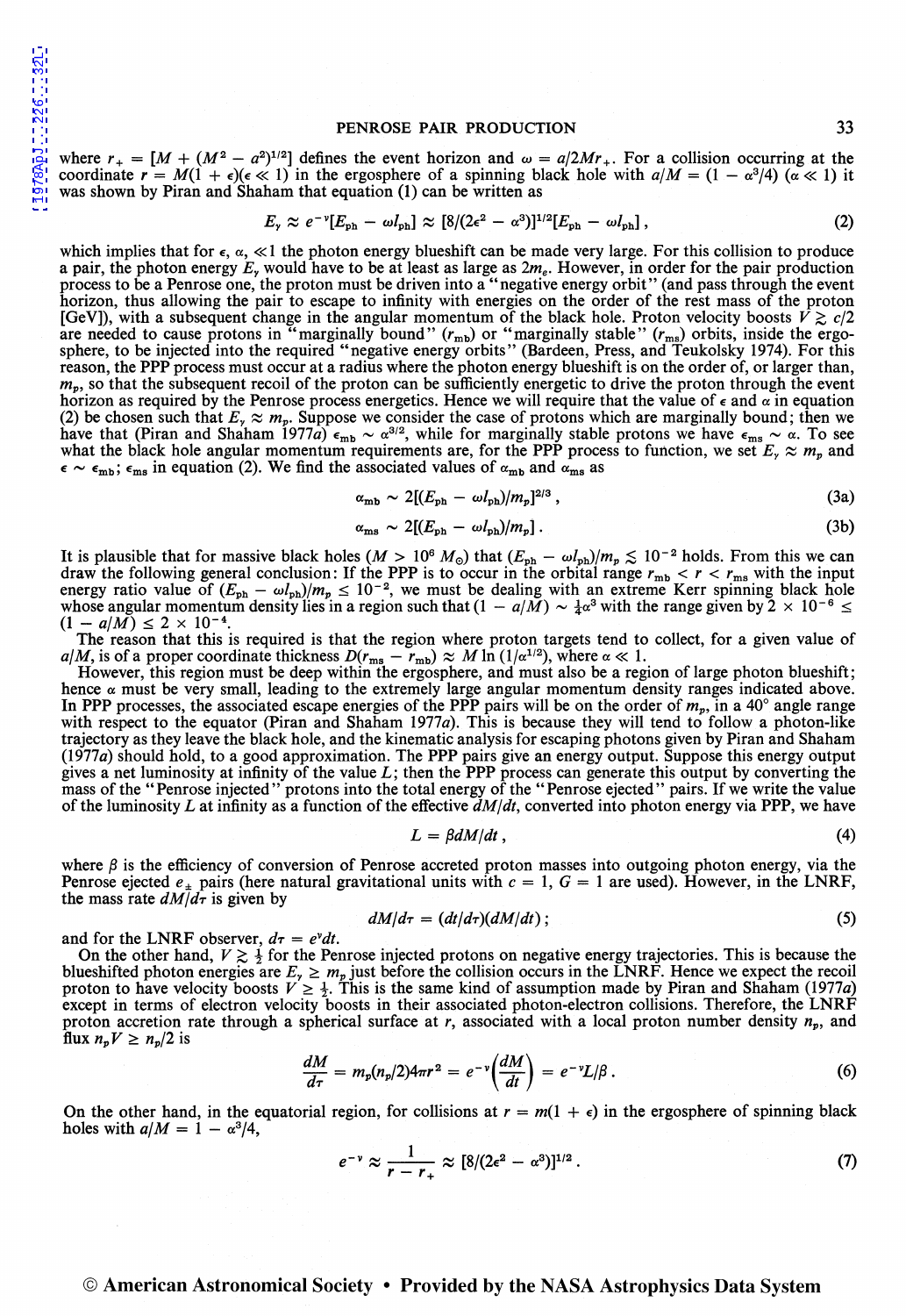#### PENROSE PAIR PRODUCTION 33

where  $r_{+} = [M + (M^{2} - a^{2})^{1/2}]$  defines the event horizon and  $\omega = a/2Mr_{+}$ . For a collision occurring at the coordinate  $r = M(1 + \epsilon)(\epsilon \ll 1)$  in the ergosphere of a spinning black hole with  $a/M = (1 - \alpha^3/4) (\alpha \ll 1)$  it was shown by Piran and Shaham that equation (1) can be written as

$$
E_{\gamma} \approx e^{-\nu} [E_{\rm ph} - \omega l_{\rm ph}] \approx [8/(2\epsilon^2 - \alpha^3)]^{1/2} [E_{\rm ph} - \omega l_{\rm ph}], \qquad (2)
$$

which implies that for  $\epsilon$ ,  $\alpha$ ,  $\ll$  1 the photon energy blueshift can be made very large. For this collision to produce a pair, the photon energy  $E<sub>x</sub>$  would have to be at least as large as  $2m<sub>e</sub>$ . However, in order for the pair production process to be a Penrose one, the proton must be driven into a "negative energy orbit" (and pass through the event horizon, thus allowing the pair to escape to infinity with energies on the order of the rest mass of the proton [GeV]), with a subsequent change in the angular momentum of the black hole. Proton velocity boosts  $\bar{V} \gtrsim c/2$ are needed to cause protons in "marginally bound" ( $r_{\rm mb}$ ) or "marginally stable" ( $r_{\rm ms}$ ) orbits, inside the ergosphere, to be injected into the required "negative energy orbits" (Bardeen, Press, and Teukolsky 1974). For this reason, the PPP process must occur at a radius where the photon energy blueshift is on the order of, or larger than,  $m_p$ , so that the subsequent recoil of the proton can be sufficiently energetic to drive the proton through the event horizon as required by the Penrose process energetics. Hence we will require that the value of e and *a* in equation (2) be chosen such that  $E_r \approx m_p$ . Suppose we consider the case of protons which are marginally bound; then we have that (Piran and Shaham 1977a)  $\epsilon_{\rm mb} \sim \alpha^{3/2}$ , while for marginally stable protons we have  $\epsilon_{\rm ms} \sim \alpha$ . To see what the black hole angular momentum requirements are, for the PPP process to function, we set  $E<sub>y</sub> \approx m_p$  and  $\epsilon \sim \epsilon_{\rm mb}$ ;  $\epsilon_{\rm ms}$  in equation (2). We find the associated values of  $\alpha_{\rm mb}$  and  $\alpha_{\rm ms}$  as

$$
\alpha_{\rm mb} \sim 2[(E_{\rm ph} - \omega l_{\rm ph})/m_p]^{2/3},\qquad (3a)
$$

$$
\alpha_{\rm ms} \sim 2[(E_{\rm ph} - \omega l_{\rm ph})/m_p] \,. \tag{3b}
$$

It is plausible that for massive black holes  $(M > 10^6 M_\odot)$  that  $(E_{\text{ph}} - \omega l_{\text{ph}})/m_p \lesssim 10^{-2}$  holds. From this we can draw the following general conclusion: If the PPP is to occur in the orbital range  $r_{\text{mb}} < r < r_{\text{$ energy ratio value of  $(E_{\rm ph} - \omega l_{\rm ph})/m_p \le 10^{-2}$ , we must be dealing with an extreme Kerr spinning black hole whose angular momentum density lies in a region such that  $(1 - a/M) \sim \frac{1}{4}\alpha^3$  with the range given by  $2 \times 10^{-6} \le$  $(1 - a/M) \leq 2 \times 10^{-4}$ 

The reason that this is required is that the region where proton targets tend to collect, for a given value of *a*/*M*, is of a proper coordinate thickness  $D(r_{\rm ms} - r_{\rm mb}) \approx M \ln (1/\alpha^{1/2})$ , where  $\alpha \ll 1$ .

However, this region must be deep within the ergosphere, and must also be a region of large photon blueshift; hence  $\alpha$  must be very small, leading to the extremely large angular momentum density ranges indicated above. In PPP processes, the associated escape energies of the PPP pairs will be on the order of  $m_v$ , in a 40° angle range with respect to the equator (Piran and Shaham 1977a). This is because they will tend to follow a photon-like trajectory as they leave the black hole, and the kinematic analysis for escaping photons given by Piran and Shaham (1977a) should hold, to a good approximation. The PPP pairs give an energy output. Suppose this energy output gives a net luminosity at infinity of the value  $L$ ; then the PPP process can generate this output by converting the mass of the "Penrose injected" protons into the total energy of the "Penrose ejected" pairs. If we write of the luminosity L at infinity as a function of the effective  $\frac{dM}{dt}$ , converted into photon energy via PPP, we have

$$
L = \beta dM/dt \,, \tag{4}
$$

where  $\beta$  is the efficiency of conversion of Penrose accreted proton masses into outgoing photon energy, via the Penrose ejected  $e_{\pm}$  pairs (here natural gravitational units with  $c = 1$ ,  $G = 1$  are used). However, in the LNRF, the mass rate  $dM/d\tau$  is given by

$$
dM/d\tau = (dt/d\tau)(dM/dt) \tag{5}
$$

and for the LNRF observer,  $d\tau = e^{\nu}dt$ .

On the other hand,  $V \gtrsim \frac{1}{2}$  for the Penrose injected protons on negative energy trajectories. This is because the blueshifted photon energies are  $E_y \ge m_p$  just before the collision occurs in the LNRF. Hence we expect the recoil proton to have velocity boosts  $V \ge \frac{1}{2}$ . This is the same kind of assumption made by Piran and Shaham ( except in terms of electron velocity boosts in their associated photon-electron collisions. Therefore, the LNRF proton accretion rate through a spherical surface at  $r$ , associated with a local proton number density  $n_p$ , and flux  $n_p V \geq n_p/2$  is

$$
\frac{dM}{d\tau} = m_p(n_p/2)4\pi r^2 = e^{-\nu} \left(\frac{dM}{dt}\right) = e^{-\nu} L/\beta.
$$
\n(6)

On the other hand, in the equatorial region, for collisions at  $r = m(1 + \epsilon)$  in the ergosphere of spinning black holes with  $a/M = 1 - \alpha^3/4$ ,

$$
e^{-\nu}\approx\frac{1}{r-r_+}\approx[8/(2\epsilon^2-\alpha^3)]^{1/2}.
$$
 (7)

### © American Astronomical Society • Provided by the NASA Astrophysics Data System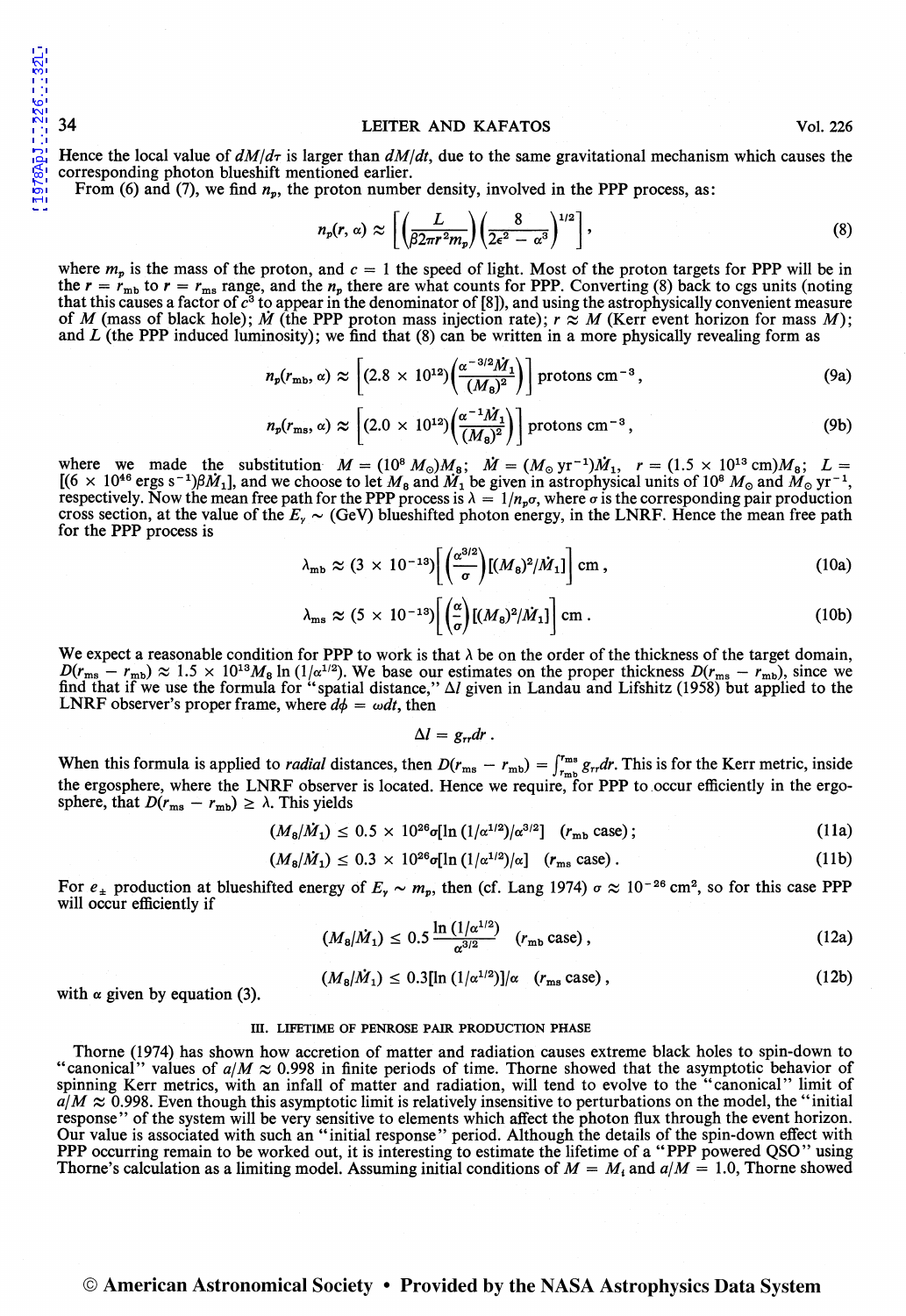Hence the local value of  $dM/d\tau$  is larger than  $dM/dt$ , due to the same gravitational mechanism which causes the corresponding photon blueshift mentioned earlier.

From (6) and (7), we find  $n_p$ , the proton number density, involved in the PPP process, as:

$$
n_p(r,\,\alpha)\,\approx\,\left[\left(\frac{L}{\beta 2\pi r^2 m_p}\right)\left(\frac{8}{2\epsilon^2-\alpha^3}\right)^{1/2}\right],\tag{8}
$$

where  $m_p$  is the mass of the proton, and  $c = 1$  the speed of light. Most of the proton targets for PPP will be in the  $r = r_{\text{mb}}$  to  $r = r_{\text{ms}}$  range, and the  $n_p$  there are what counts for PPP. Converting (8) back to cgs units (noting that this causes a factor of  $c^3$  to appear in the denominator of [8]), and using the astrophysically convenient measure of *M* (mass of black hole); *M* (the PPP proton mass injection rate);  $r \approx M$  (Kerr event horizon for mass *M*); and *L* (the PPP induced luminosity); we find that (8) can be written in a more physically revealing form as

$$
n_p(r_{\rm mb}, \alpha) \approx \left[ (2.8 \times 10^{12}) \left( \frac{\alpha^{-3/2} \dot{M}_1}{(M_8)^2} \right) \right] \text{protons cm}^{-3}, \qquad (9a)
$$

$$
n_p(r_{\rm ms}, \alpha) \approx \left[ (2.0 \times 10^{12}) \left( \frac{\alpha^{-1} \dot{M}_1}{(M_8)^2} \right) \right] \text{protons cm}^{-3}, \qquad (9b)
$$

where we made the substitution  $M = (10^8 M_\odot)M_B$ ;  $\dot{M} = (M_\odot \text{ yr}^{-1})\dot{M}_1$ ,  $r = (1.5 \times 10^{13} \text{ cm})M_B$ ;  $L =$  $[(6 \times 10^{46} \text{ ergs s}^{-1})\beta M_1]$ , and we choose to let  $M_8$  and  $M_1$  be given in astrophysical units of 10<sup>8</sup>  $M_9$  and  $M_9$  yr<sup>-1</sup>, respectively. Now the mean free path for the PPP process is  $\lambda = 1/n_p\sigma$ , where  $\sigma$  is the corresponding pair production cross section, at the value of the  $E<sub>y</sub> \sim$  (GeV) blueshifted photon energy, in the LNRF. Hence the mean free path for the PPP process is

$$
\lambda_{\rm mb} \approx (3 \times 10^{-13}) \left[ \left( \frac{\alpha^{3/2}}{\sigma} \right) \left[ (M_8)^2 / \dot{M}_1 \right] \right] \text{cm} , \qquad (10a)
$$

$$
\lambda_{\rm ms} \approx (5 \times 10^{-13}) \left[ \left( \frac{\alpha}{\sigma} \right) [ (M_8)^2 / \dot{M}_1 ] \right] \text{cm} \,. \tag{10b}
$$

We expect a reasonable condition for PPP to work is that  $\lambda$  be on the order of the thickness of the target domain,  $D(r_{\rm ms} - r_{\rm mb}) \approx 1.5 \times 10^{13} M_8 \ln(1/\alpha^{1/2})$ . We base our estimates on the proper thickness  $D(r_{\rm ms} - r_{\rm mb})$ , since we find that if we use the formula for "spatial distance,"  $\Delta l$  given in Landau and Lifshitz (1958) but applied to the LNRF observer's proper frame, where  $d\phi = \omega dt$ , then

 $\Delta l = g_{rr} dr$ .

When this formula is applied to *radial* distances, then  $D(r_{ms} - r_{mb}) = \int_{r_{mb}}^{r_{ms}} g_{rr} dr$ . This is for the Kerr metric, inside the ergosphere, where the LNRF observer is located. Hence we require, for PPP to occur efficiently in the ergosphere, that  $D(r_{\text{ms}} - r_{\text{mb}}) \ge \lambda$ . This yields

$$
(M_8/\dot{M}_1) \le 0.5 \times 10^{26} \sigma [\ln (1/\alpha^{1/2})/\alpha^{3/2}] \quad (r_{\rm mb} \csc); \tag{11a}
$$

$$
(M_8/\dot{M}_1) \le 0.3 \times 10^{26} \sigma [\ln{(1/\alpha^{1/2})/\alpha}] \quad (r_{\rm ms} \text{ case}). \tag{11b}
$$

For  $e_{\pm}$  production at blueshifted energy of  $E_{\gamma} \sim m_p$ , then (cf. Lang 1974)  $\sigma \approx 10^{-26}$  cm<sup>2</sup>, so for this case PPP will occur efficiently if

$$
(M_8/\dot{M}_1) \leq 0.5 \frac{\ln (1/\alpha^{1/2})}{\alpha^{3/2}} \quad (r_{\rm mb} \case), \qquad (12a)
$$

$$
(M8/\dot{M}1) \leq 0.3[\ln(1/\alpha^{1/2})]/\alpha \quad (rms case), \qquad (12b)
$$

with  $\alpha$  given by equation (3).

#### ill. LIFETIME OF PENROSE PAIR PRODUCTION PHASE

Thorne (1974) has shown how accretion of matter and radiation causes extreme black holes to spin-down to "canonical" values of  $a/M \approx 0.998$  in finite periods of time. Thorne showed that the asymptotic behavior of spinning Kerr metrics, with an infall of matter and radiation, will tend to evolve to the "canonical" limit of  $a/M \approx 0.998$ . Even though this asymptotic limit is relatively insensitive to perturbations on the model, the "initial" response" of the system will be very sensitive to elements which affect the photon flux through the event horizon. Our value is associated with such an "initial response" period. Although the details of the spin-down effect with PPP occurring remain to be worked out, it is interesting to estimate the lifetime of a "PPP powered QSO" using Thorne's calculation as a limiting model. Assuming initial conditions of  $M = M_i$  and  $a/M = 1.0$ , Thorne showed

### © American Astronomical Society • Provided by the NASA Astrophysics Data System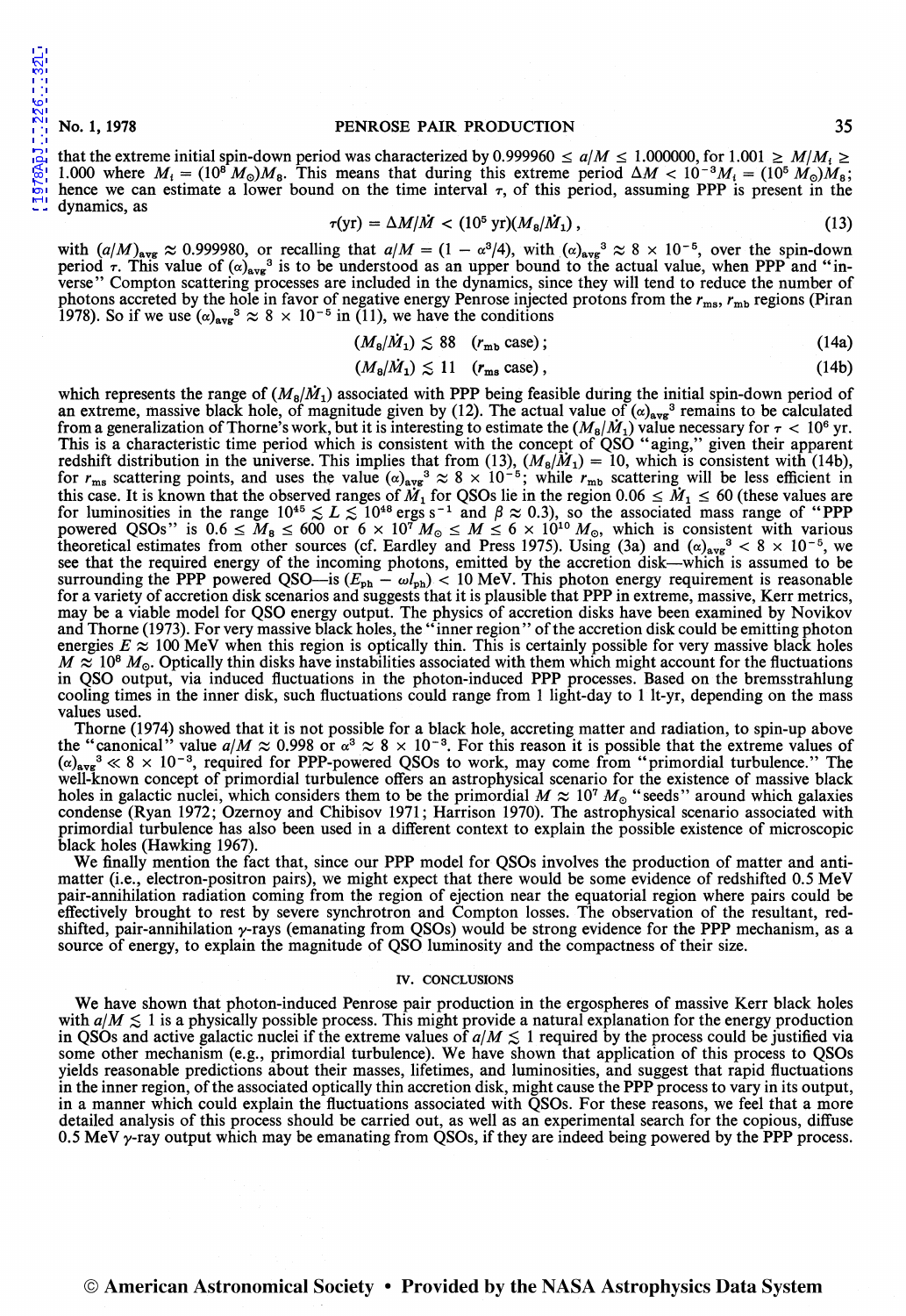[1978ApJ...226...32L](http://adsabs.harvard.edu/abs/1978ApJ...226...32L)

1978ApJ...226...32L

#### No.1, 1978 PENROSE PAIR PRODUCTION 35

that the extreme initial spin-down period was characterized by 0.999960  $\le a/M \le 1.000000$ , for  $1.001 \ge M/M_1 \ge$ 1.000 where  $M_i = (10^8 M_\odot) M_8$ . This means that during this extreme period  $\Delta M < 10^{-3} M_i = (10^5 M_\odot) M_8$ ; hence we can estimate a lower bound on the time interval  $\tau$ , of this period, assuming PPP is present in the dynamics, as

$$
\tau(\text{yr}) = \Delta M/\dot{M} < (10^5 \text{ yr})(M_8/\dot{M}_1) \,, \tag{13}
$$

with  $(a/M)_{\text{avg}} \approx 0.999980$ , or recalling that  $a/M = (1 - \alpha^3/4)$ , with  $(\alpha)_{\text{avg}}^3 \approx 8 \times 10^{-5}$ , over the spin-down period  $\tau$ . This value of  $(\alpha)_{\text{avg}}^3$  is to be understood as an upper bound to the actual value, when PPP and "inverse" Compton scattering processes are included in the dynamics, since they will tend to reduce the number of photons accreted by the hole in favor of negative energy Penrose injected protons from the  $r_{ms}$ ,  $r_{mb}$  regions (Piran 1978). So if we use  $(\alpha)_{\text{avg}}^3 \approx 8 \times 10^{-5}$  in (11), we have the conditions

$$
(M_8/\dot{M}_1) \lesssim 88 \quad (r_{\rm mb} \csc); \tag{14a}
$$

$$
(M_{\rm B}/\dot{M}_1) \lesssim 11 \quad (r_{\rm ms} \text{ case}), \tag{14b}
$$

which represents the range of  $(M_8/M_1)$  associated with PPP being feasible during the initial spin-down period of an extreme, massive black hole, of magnitude given by (12). The actual value of  $(\alpha)_{avg}$ <sup>3</sup> remains to be calculated from a generalization of Thorne's work, but it is interesting to estimate the  $(M_8/M_1)$  value necessary for  $\tau < 10^6$  yr. This is a characteristic time period which is consistent with the concept of QSO "aging," given their apparent redshift distribution in the universe. This implies that from (13),  $(M_8/M_1) = 10$ , which is consistent with (14b), for  $r_{\rm ms}$  scattering points, and uses the value  $(\alpha)_{\rm avg}$ <sup>3</sup>  $\approx 8 \times 10^{-5}$ ; while  $r_{\rm mb}$  scattering will be less efficient in this case. It is known that the observed ranges of  $\ddot{M}_1$  for QSOs lie in the region 0.06  $\leq \ddot{M}_1 \leq 60$  (these values are for luminosities in the range  $10^{45} \lesssim L \lesssim 10^{48}$  ergs s<sup>-1</sup> and  $\beta \approx 0.3$ ), so the associated mass range of "PPP powered QSOs" is  $0.6 \leq M_8 \leq 600$  or  $6 \times 10^{7} M_{\odot} \leq M \leq 6 \times 10^{10} M_{\odot}$ , which is consistent with various theoretical estimates from other sources (cf. Eardley and Press 1975). Using (3a) and  $(\alpha)_{\text{avg}}^3 < 8 \times 10^{-5}$ , we see that the required energy of the incoming photons, emitted by the accretion disk-which is assumed to be surrounding the PPP powered QSO—is  $(E_{\text{ph}} - \omega l_{\text{ph}})$  < 10 MeV. This photon energy requirement is reasonable for a variety of accretion disk scenarios and suggests that it is plausible that PPP in extreme, massive, Kerr metrics, may be a viable model for QSO energy output. The physics of accretion disks have been examined by Novikov and Thorne (1973). For very massive black holes, the "inner region" of the accretion disk could be emitting photon energies  $E \approx 100$  MeV when this region is optically thin. This is certainly possible for very massive black holes  $M \approx 10^8$   $M_{\odot}$ . Optically thin disks have instabilities associated with them which might account for the fluctuations in QSO output, via induced fluctuations in the photon-induced PPP processes. Based on the bremsstrahlung cooling times in the inner disk, such fluctuations could range from I light-day to 1 lt-yr, depending on the mass values used.

Thorne (1974) showed that it is not possible for a black hole, accreting matter and radiation, to spin-up above the "canonical" value  $a/M \approx 0.998$  or  $\alpha^3 \approx 8 \times 10^{-3}$ . For this reason it is possible that the extreme values of  $(\alpha)_{\text{avg}}^3 \ll 8 \times 10^{-3}$ , required for PPP-powered QSOs to work, may come from "primordial turbulence." The well-known concept of primordial turbulence offers an astrophysical scenario for the existence of massive black holes in galactic nuclei, which considers them to be the primordial  $M \approx 10^7 M_{\odot}$  "seeds" around which galaxies condense (Ryan 1972; Ozernoy and Chibisov 1971; Harrison 1970). The astrophysical scenario associated with primordial turbulence has also been used in a different context to explain the possible existence of microscopic black holes (Hawking 1967).

We finally mention the fact that, since our PPP model for QSOs involves the production of matter and antimatter (i.e., electron-positron pairs), we might expect that there would be some evidence of redshifted 0.5 MeV pair-annihilation radiation coming from the region of ejection near the equatorial region where pairs could be effectively brought to rest by severe synchrotron and Compton losses. The observation of the resultant, redshifted, pair-annihilation  $\gamma$ -rays (emanating from QSOs) would be strong evidence for the PPP mechanism, as a source of energy, to explain the magnitude of QSO luminosity and the compactness of their size.

#### IV. CONCLUSIONS

We have shown that photon-induced Penrose pair production in the ergospheres of massive Kerr black holes with  $a/M \lesssim 1$  is a physically possible process. This might provide a natural explanation for the energy production in QSOs and active galactic nuclei if the extreme values of  $a/M \lesssim 1$  required by the process could be justified via some other mechanism (e.g., primordial turbulence). We have shown that application of this process to QSOs yields reasonable predictions about their masses, lifetimes, and luminosities, and suggest that rapid fluctuations in the inner region, of the associated optically thin accretion disk, might cause the PPP process to vary in its output, in a manner which could explain the fluctuations associated with QSOs. For these reasons, we feel that a more detailed analysis of this process should be carried out, as well as an experimental search for the copious, diffuse 0.5 MeV  $\gamma$ -ray output which may be emanating from QSOs, if they are indeed being powered by the PPP process.